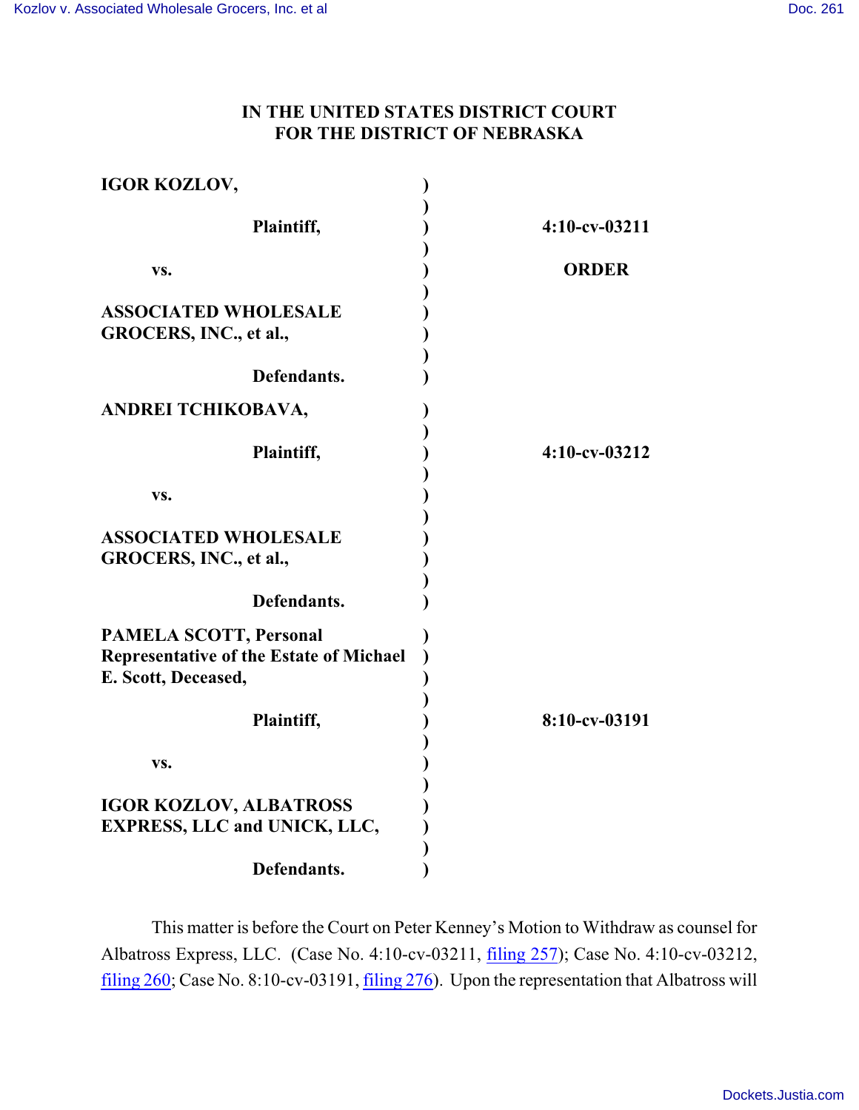## **IN THE UNITED STATES DISTRICT COURT FOR THE DISTRICT OF NEBRASKA**

| <b>IGOR KOZLOV,</b>                     |                  |
|-----------------------------------------|------------------|
|                                         |                  |
| Plaintiff,                              | 4:10-cv-03211    |
| VS.                                     | <b>ORDER</b>     |
|                                         |                  |
| <b>ASSOCIATED WHOLESALE</b>             |                  |
| GROCERS, INC., et al.,                  |                  |
|                                         |                  |
| Defendants.                             |                  |
| ANDREI TCHIKOBAVA,                      |                  |
|                                         |                  |
| Plaintiff,                              | $4:10$ -cv-03212 |
|                                         |                  |
| VS.                                     |                  |
| <b>ASSOCIATED WHOLESALE</b>             |                  |
| GROCERS, INC., et al.,                  |                  |
|                                         |                  |
| Defendants.                             |                  |
| <b>PAMELA SCOTT, Personal</b>           |                  |
| Representative of the Estate of Michael |                  |
| E. Scott, Deceased,                     |                  |
|                                         |                  |
| Plaintiff,                              | 8:10-cv-03191    |
|                                         |                  |
| VS.                                     |                  |
| <b>IGOR KOZLOV, ALBATROSS</b>           |                  |
| <b>EXPRESS, LLC and UNICK, LLC,</b>     |                  |
|                                         |                  |
| Defendants.                             |                  |

This matter is before the Court on Peter Kenney's Motion to Withdraw as counsel for Albatross Express, LLC. (Case No. 4:10-cv-03211, [filing 257](https://ecf.ned.uscourts.gov/doc1/11313044805)); Case No. 4:10-cv-03212, [filing 260](https://ecf.ned.uscourts.gov/doc1/11313045435); Case No. 8:10-cv-03191, [filing 276](https://ecf.ned.uscourts.gov/doc1/11313045450)). Upon the representation that Albatross will